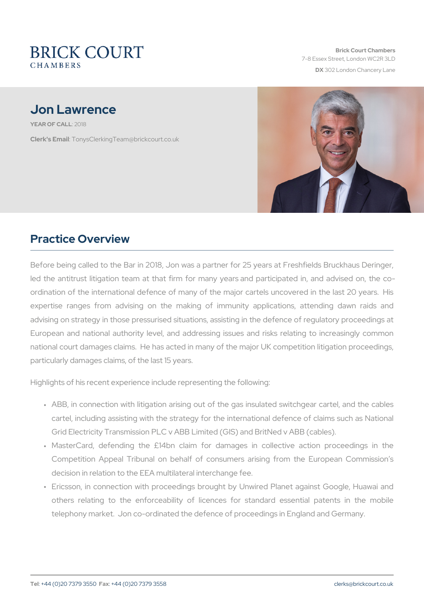## Jon Lawrence

YEAR OF CALL 18

Clerk's Emanily sClerking Team @brickcourt.co.uk

## Practice Overview

Before being called to the Bar in 2018, Jon was a partner for 25 yea led the antitrust litigation team at that firm for many years and pa ordination of the international defence of many of the major cartels expertise ranges from advising on the making of immunity appl advising on strategy in those pressurised situations, assisting in the European and national authority level, and addressing issues and i national court damages claims. He has acted in many of the major U particularly damages claims, of the last 15 years.

Highlights of his recent experience include representing the following:

- " ABB, in connection with litigation arising out of the gas insulate cartel, including assisting with the strategy for the international Grid Electricity Transmission PLC v ABB Limited (GIS) and BritNed
- " MasterCard, defending the £14bn claim for damages in colle Competition Appeal Tribunal on behalf of consumers arising f decision in relation to the EEA multilateral interchange fee.
- " Ericsson, in connection with proceedings brought by Unwired PI others relating to the enforceability of licences for standar telephony market. Jon co-ordinated the defence of proceedings in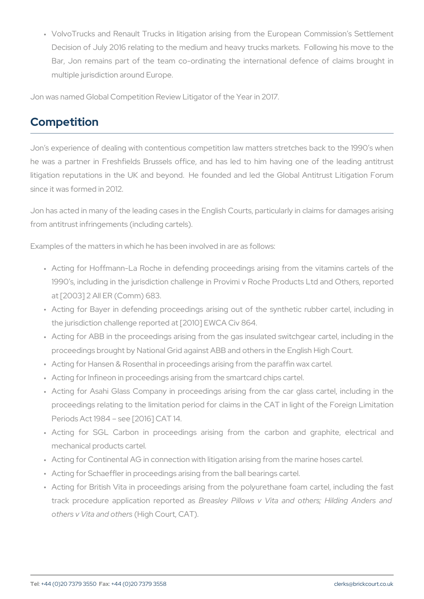" VolvoTrucks and Renault Trucks in litigation arising from the E Decision of July 2016 relating to the medium and heavy trucks m Bar, Jon remains part of the team co-ordinating the international multiple jurisdiction around Europe.

Jon was named Global Competition Review Litigator of the Year in 2017.

## Competition

Jon s experience of dealing with contentious competition law matters he was a partner in Freshfields Brussels office, and has led to h litigation reputations in the UK and beyond. He founded and led t since it was formed in 2012.

Jon has acted in many of the leading cases in the English Courts, part from antitrust infringements (including cartels).

Examples of the matters in which he has been involved in are as follow

- " Acting for Hoffmann-La Roche in defending proceedings arising 1990 s, including in the jurisdiction challenge in Provimi v Roche at [2003] 2 All ER (Comm) 683.
- " Acting for Bayer in defending proceedings arising out of the sy the jurisdiction challenge reported at [2010] EWCA Civ 864.
- " Acting for ABB in the proceedings arising from the gas insulated proceedings brought by National Grid against ABB and others in th
- " Acting for Hansen & Rosenthal in proceedings arising from the par
- " Acting for Infineon in proceedings arising from the smartcard chip
- " Acting for Asahi Glass Company in proceedings arising from the proceedings relating to the limitation period for claims in the CA Periods Act 1984 see [2016] CAT 14.
- " Acting for SGL Carbon in proceedings arising from the car mechanical products cartel.
- " Acting for Continental AG in connection with litigation arising from
- " Acting for Schaeffler in proceedings arising from the ball bearings
- " Acting for British Vita in proceedings arising from the polyuretha track procedure application reasposition as Vita and others; Hilding Anack and Anders and Anders and Anders and others v Vita and diothers (CAT).